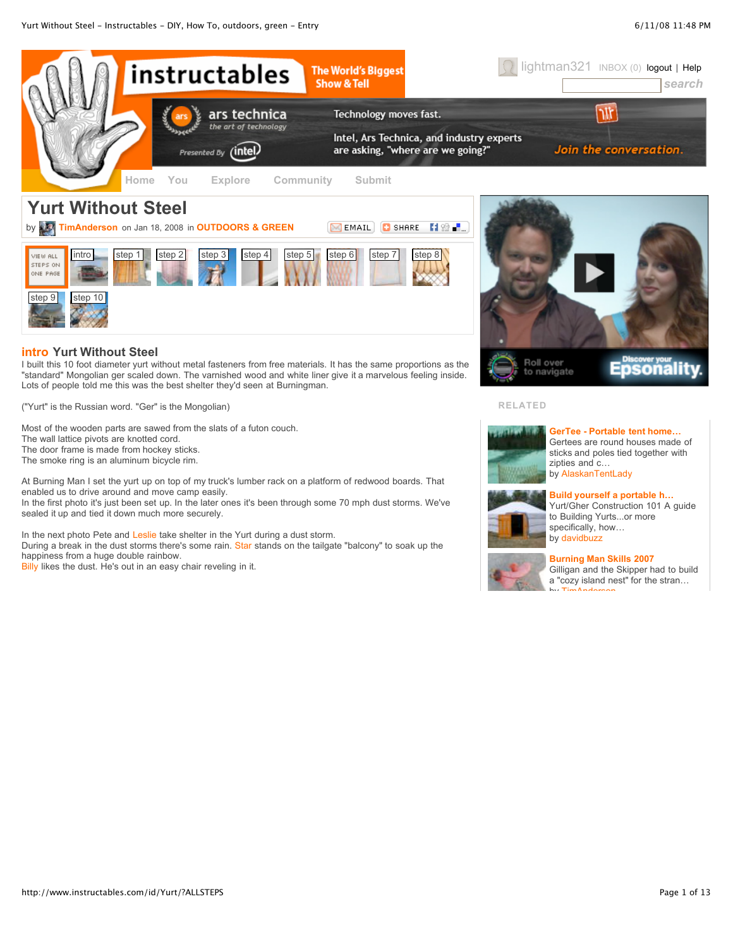

"standard" Mongolian ger scaled down. The varnished wood and white liner give it a marvelous feeling inside. Lots of people told me this was the best shelter they'd seen at Burningman.

("Yurt" is the Russian word. "Ger" is the Mongolian)

Most of the wooden parts are sawed from the slats of a futon couch. The wall lattice pivots are knotted cord. The door frame is made from hockey sticks. The smoke ring is an aluminum bicycle rim.

At Burning Man I set the yurt up on top of my truck's lumber rack on a platform of redwood boards. That enabled us to drive around and move camp easily.

In the first photo it's just been set up. In the later ones it's been through some 70 mph dust storms. We've sealed it up and tied it down much more securely.

In the next photo Pete and [Leslie](http://www.instructables.com/member/theinfonaut/) take shelter in the Yurt during a dust storm. During a break in the dust storms there's some rain. [Star](http://www.instructables.com/member/stasterisk/) stands on the tailgate "balcony" to soak up the happiness from a huge double rainbow.

[Billy](http://www.instructables.com/member/Tetranitrate/) likes the dust. He's out in an easy chair reveling in it.

# **RELATED**



**GerTee - Portable [tent home…](http://www.instructables.com/id/GerTee-Portable-tent-home-made-of-recycled-materia/)** Gertees are round houses made of sticks and poles tied together with zipties and c… by [AlaskanTentLady](http://www.instructables.com/member/AlaskanTentLady)



#### **[Build yourself](http://www.instructables.com/id/Build-yourself-a-portable-home---a-mongolian-yurt/) a portable h…**

Yurt/Gher Construction 101 A guide to Building Yurts...or more specifically, how… by [davidbuzz](http://www.instructables.com/member/davidbuzz)



#### **Burning [Man Skills](http://www.instructables.com/id/Burning-Man-Skills-2007/) 2007**

Gilligan and the Skipper had to build a "cozy island nest" for the stran… by [TimAnderson](http://www.instructables.com/member/TimAnderson)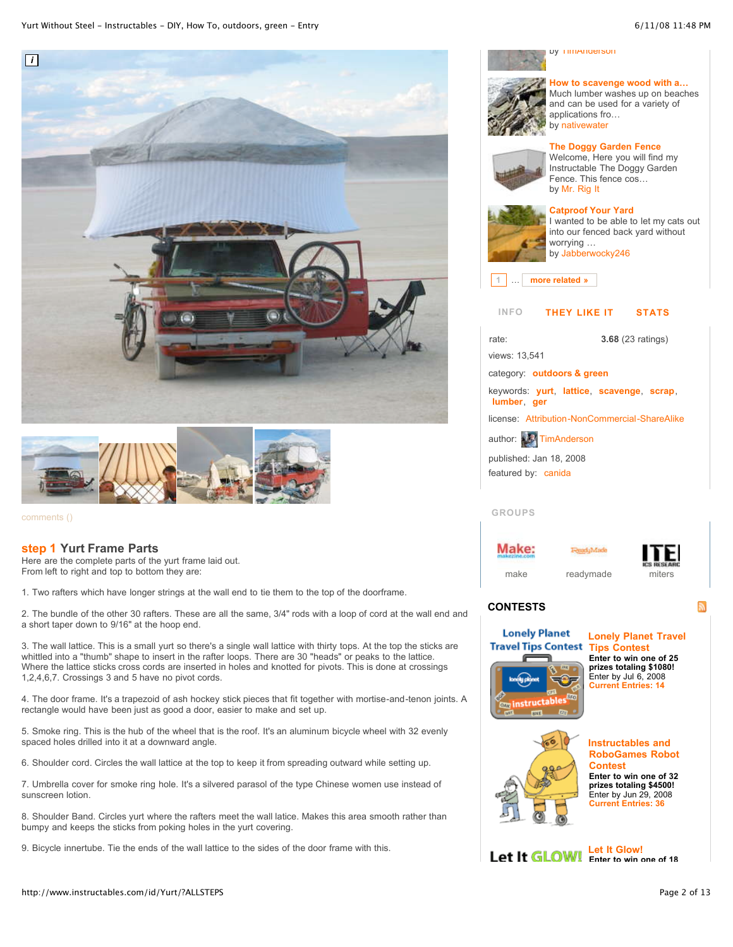



### **step 1 [Yurt Frame](http://www.instructables.com/id/Yurt/) Parts**

Here are the complete parts of the yurt frame laid out. From left to right and top to bottom they are:

1. Two rafters which have longer strings at the wall end to tie them to the top of the doorframe.

2. The bundle of the other 30 rafters. These are all the same, 3/4" rods with a loop of cord at the wall end and a short taper down to 9/16" at the hoop end.

3. The wall lattice. This is a small yurt so there's a single wall lattice with thirty tops. At the top the sticks are whittled into a "thumb" shape to insert in the rafter loops. There are 30 "heads" or peaks to the lattice. Where the lattice sticks cross cords are inserted in holes and knotted for pivots. This is done at crossings 1,2,4,6,7. Crossings 3 and 5 have no pivot cords.

4. The door frame. It's a trapezoid of ash hockey stick pieces that fit together with mortise-and-tenon joints. A rectangle would have been just as good a door, easier to make and set up.

5. Smoke ring. This is the hub of the wheel that is the roof. It's an aluminum bicycle wheel with 32 evenly spaced holes drilled into it at a downward angle.

6. Shoulder cord. Circles the wall lattice at the top to keep it from spreading outward while setting up.

7. Umbrella cover for smoke ring hole. It's a silvered parasol of the type Chinese women use instead of sunscreen lotion.

8. Shoulder Band. Circles yurt where the rafters meet the wall latice. Makes this area smooth rather than bumpy and keeps the sticks from poking holes in the yurt covering.

9. Bicycle innertube. Tie the ends of the wall lattice to the sides of the door frame with this.





**How to [scavenge](http://www.instructables.com/id/How-to-scavenge-wood-with-a-kayak/) wood with a…** Much lumber washes up on beaches and can be used for a variety of applications fro… by [nativewater](http://www.instructables.com/member/nativewater)

# **The Doggy [Garden](http://www.instructables.com/id/The-Doggy-Garden-Fence/) Fence**



Welcome, Here you will find my Instructable The Doggy Garden Fence. This fence cos… by Mr. [Rig](http://www.instructables.com/member/Mr.%20Rig%20It) It



# **[Catproof](http://www.instructables.com/id/Catproof-Your-Yard/) Your Yard**

I wanted to be able to let my cats out into our fenced back yard without worrying … by [Jabberwocky246](http://www.instructables.com/member/Jabberwocky246)

**1** … **more related »**

## **INFO THEY LIKE IT STATS**



# **GROUPS**

Make:





# **CONTESTS**



**Lonely Planet Travel Tips [Contest](http://www.instructables.com/contest/traveltips/) Enter to win one of 25 prizes totaling \$1080!** Enter by Jul 6, 2008 **Current [Entries:](http://www.instructables.com/contest/traveltips/) 14**



**[Instructables](http://www.instructables.com/contest/robotcontest/) and RoboGames Robot Contest Enter to win one of 32 prizes totaling \$4500!** Enter by Jun 29, 2008 **Current [Entries:](http://www.instructables.com/contest/robotcontest/) 36**

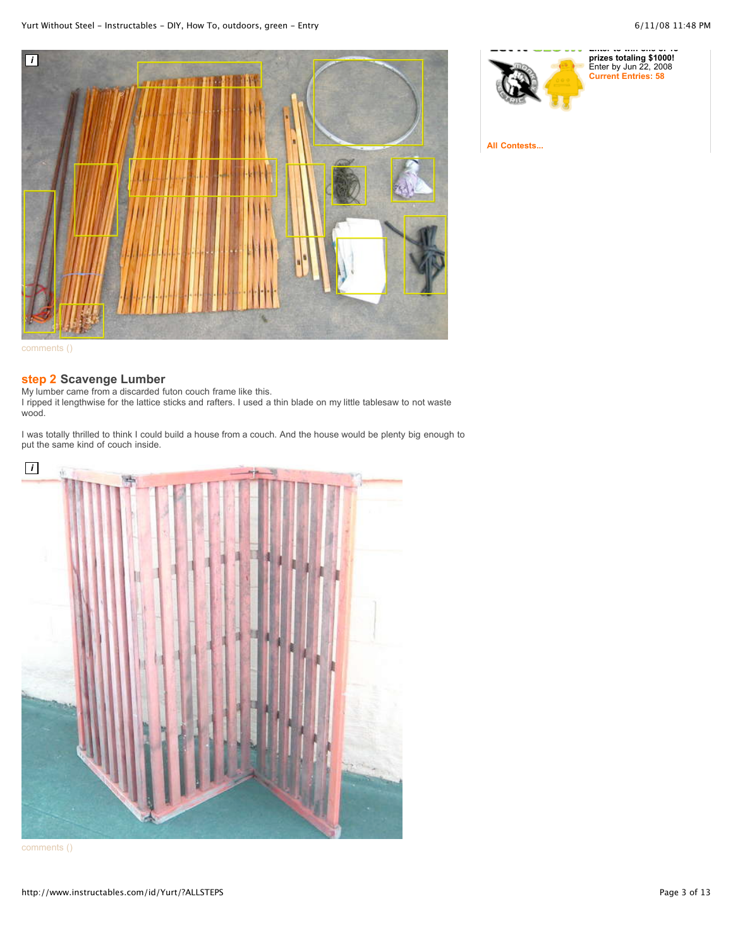

[comments](http://www.instructables.com/id/SSIGUDMFBJIMTOI/#DISCUSS) ()

# **step 2 [Scavenge](http://www.instructables.com/id/Yurt/) Lumber**

My lumber came from a discarded futon couch frame like this. I ripped it lengthwise for the lattice sticks and rafters. I used a thin blade on my little tablesaw to not waste wood.

I was totally thrilled to think I could build a house from a couch. And the house would be plenty big enough to put the same kind of couch inside.



[comments](http://www.instructables.com/id/SSSCYL5FBJIMTQ3/#DISCUSS) ()



**All [Contests...](http://www.instructables.com/contest/?sort=OPEN)**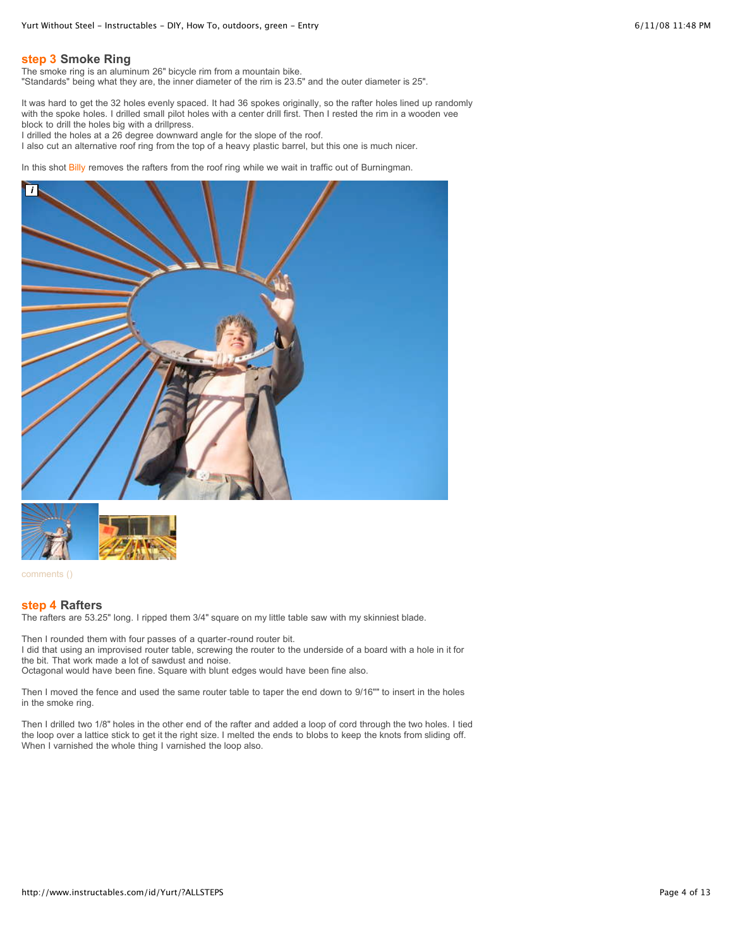# **step 3 [Smoke](http://www.instructables.com/id/Yurt/) Ring**

The smoke ring is an aluminum 26" bicycle rim from a mountain bike.

"Standards" being what they are, the inner diameter of the rim is 23.5" and the outer diameter is 25".

It was hard to get the 32 holes evenly spaced. It had 36 spokes originally, so the rafter holes lined up randomly with the spoke holes. I drilled small pilot holes with a center drill first. Then I rested the rim in a wooden vee block to drill the holes big with a drillpress.

I drilled the holes at a 26 degree downward angle for the slope of the roof.

I also cut an alternative roof ring from the top of a heavy plastic barrel, but this one is much nicer.

In this shot [Billy](http://www.instructables.com/member/Tetranitrate/) removes the rafters from the roof ring while we wait in traffic out of Burningman.





[comments](http://www.instructables.com/id/SWYDTRHFBJIMTWC/#DISCUSS) ()

### **step 4 [Rafters](http://www.instructables.com/id/Yurt/)**

The rafters are 53.25" long. I ripped them 3/4" square on my little table saw with my skinniest blade.

Then I rounded them with four passes of a quarter-round router bit. I did that using an improvised router table, screwing the router to the underside of a board with a hole in it for the bit. That work made a lot of sawdust and noise. Octagonal would have been fine. Square with blunt edges would have been fine also.

Then I moved the fence and used the same router table to taper the end down to 9/16"" to insert in the holes in the smoke ring.

Then I drilled two 1/8" holes in the other end of the rafter and added a loop of cord through the two holes. I tied the loop over a lattice stick to get it the right size. I melted the ends to blobs to keep the knots from sliding off. When I varnished the whole thing I varnished the loop also.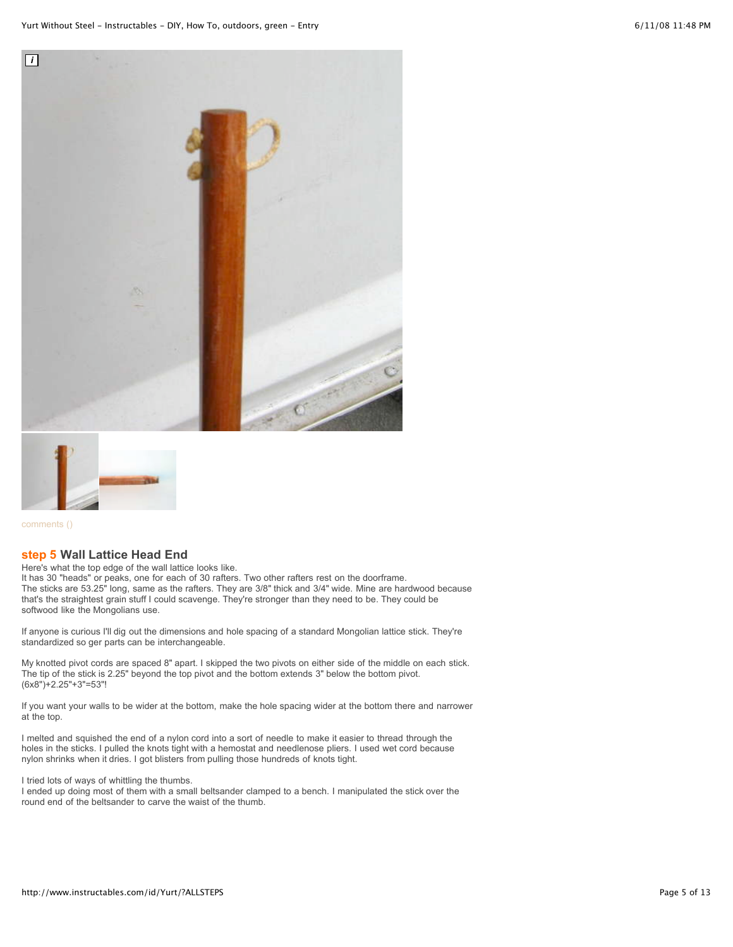



# **step 5 Wall [Lattice](http://www.instructables.com/id/Yurt/) Head End**

Here's what the top edge of the wall lattice looks like. It has 30 "heads" or peaks, one for each of 30 rafters. Two other rafters rest on the doorframe. The sticks are 53.25" long, same as the rafters. They are 3/8" thick and 3/4" wide. Mine are hardwood because

that's the straightest grain stuff I could scavenge. They're stronger than they need to be. They could be softwood like the Mongolians use.

If anyone is curious I'll dig out the dimensions and hole spacing of a standard Mongolian lattice stick. They're standardized so ger parts can be interchangeable.

My knotted pivot cords are spaced 8" apart. I skipped the two pivots on either side of the middle on each stick. The tip of the stick is 2.25" beyond the top pivot and the bottom extends 3" below the bottom pivot. (6x8")+2.25"+3"=53"!

If you want your walls to be wider at the bottom, make the hole spacing wider at the bottom there and narrower at the top.

I melted and squished the end of a nylon cord into a sort of needle to make it easier to thread through the holes in the sticks. I pulled the knots tight with a hemostat and needlenose pliers. I used wet cord because nylon shrinks when it dries. I got blisters from pulling those hundreds of knots tight.

I tried lots of ways of whittling the thumbs.

I ended up doing most of them with a small beltsander clamped to a bench. I manipulated the stick over the round end of the beltsander to carve the waist of the thumb.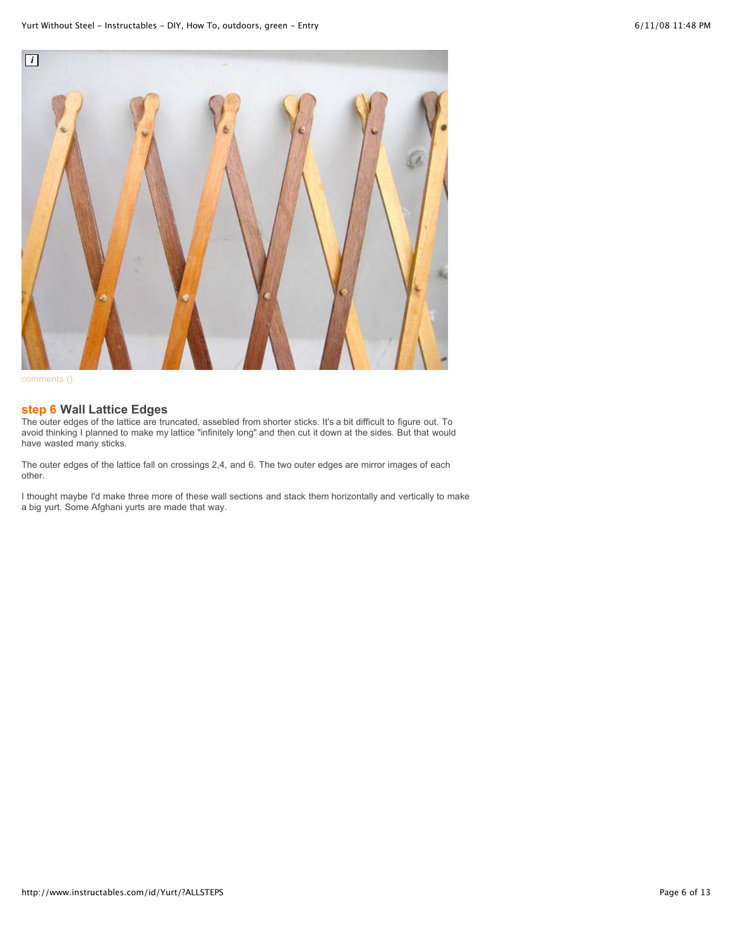

[comments](http://www.instructables.com/id/SAJCUD7FBJIMTYC/#DISCUSS) ()

## **step 6 Wall [Lattice](http://www.instructables.com/id/Yurt/) Edges**

The outer edges of the lattice are truncated, assebled from shorter sticks. It's a bit difficult to figure out. To avoid thinking I planned to make my lattice "infinitely long" and then cut it down at the sides. But that would have wasted many sticks.

The outer edges of the lattice fall on crossings 2,4, and 6. The two outer edges are mirror images of each other.

I thought maybe I'd make three more of these wall sections and stack them horizontally and vertically to make a big yurt. Some Afghani yurts are made that way.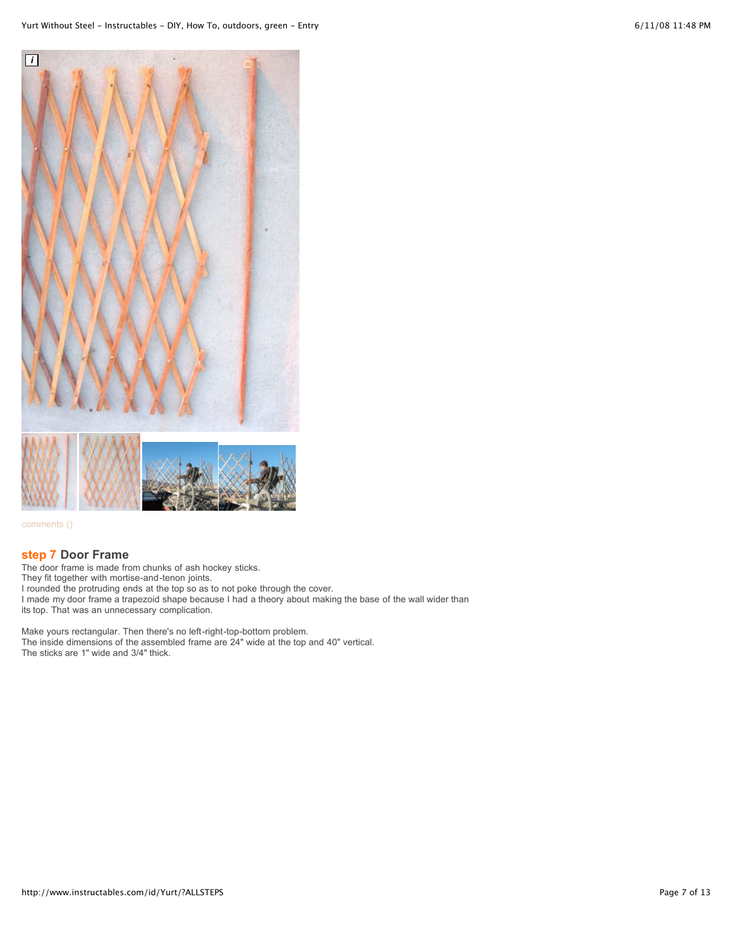

## **step 7 Door [Frame](http://www.instructables.com/id/Yurt/)**

The door frame is made from chunks of ash hockey sticks. They fit together with mortise-and-tenon joints. I rounded the protruding ends at the top so as to not poke through the cover. I made my door frame a trapezoid shape because I had a theory about making the base of the wall wider than its top. That was an unnecessary complication.

Make yours rectangular. Then there's no left-right-top-bottom problem. The inside dimensions of the assembled frame are 24" wide at the top and 40" vertical. The sticks are 1" wide and 3/4" thick.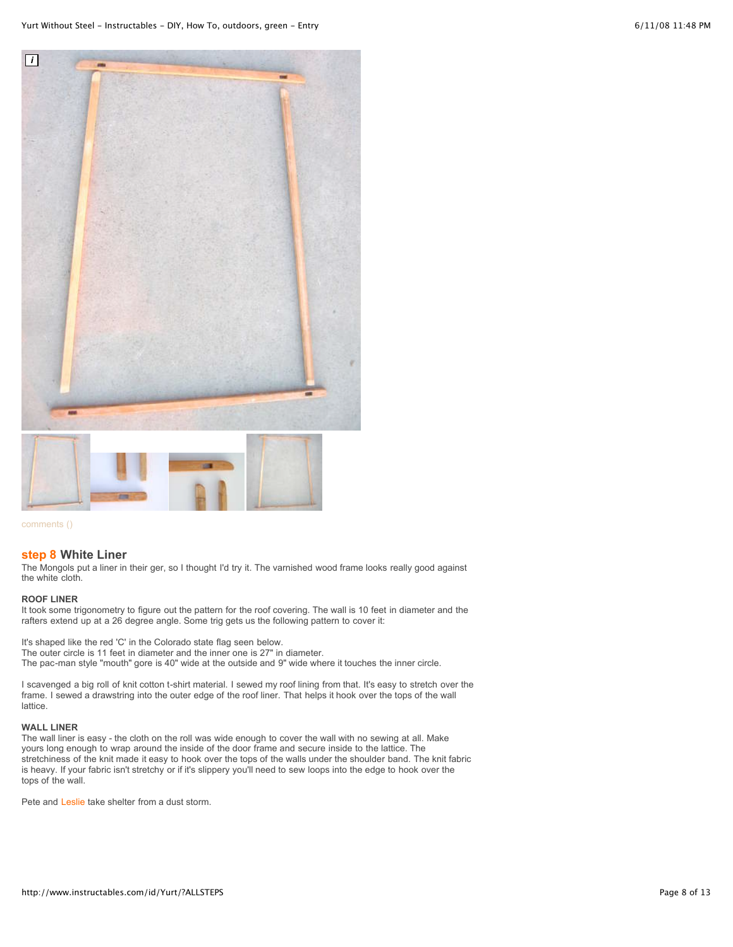



#### **step 8 [White](http://www.instructables.com/id/Yurt/) Liner**

The Mongols put a liner in their ger, so I thought I'd try it. The varnished wood frame looks really good against the white cloth.

#### **ROOF LINER**

It took some trigonometry to figure out the pattern for the roof covering. The wall is 10 feet in diameter and the rafters extend up at a 26 degree angle. Some trig gets us the following pattern to cover it:

It's shaped like the red 'C' in the Colorado state flag seen below. The outer circle is 11 feet in diameter and the inner one is 27" in diameter. The pac-man style "mouth" gore is 40" wide at the outside and 9" wide where it touches the inner circle.

I scavenged a big roll of knit cotton t-shirt material. I sewed my roof lining from that. It's easy to stretch over the frame. I sewed a drawstring into the outer edge of the roof liner. That helps it hook over the tops of the wall lattice.

#### **WALL LINER**

The wall liner is easy - the cloth on the roll was wide enough to cover the wall with no sewing at all. Make yours long enough to wrap around the inside of the door frame and secure inside to the lattice. The stretchiness of the knit made it easy to hook over the tops of the walls under the shoulder band. The knit fabric is heavy. If your fabric isn't stretchy or if it's slippery you'll need to sew loops into the edge to hook over the tops of the wall.

Pete and [Leslie](http://www.instructables.com/member/theinfonaut/) take shelter from a dust storm.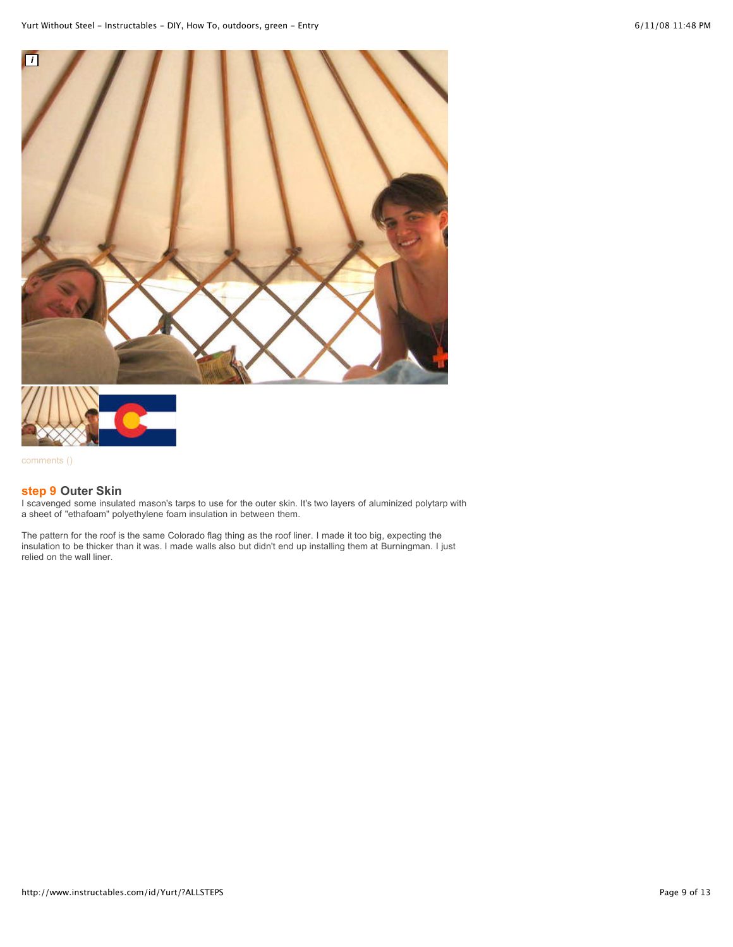



# **step 9 [Outer](http://www.instructables.com/id/Yurt/) Skin**

I scavenged some insulated mason's tarps to use for the outer skin. It's two layers of aluminized polytarp with a sheet of "ethafoam" polyethylene foam insulation in between them.

The pattern for the roof is the same Colorado flag thing as the roof liner. I made it too big, expecting the insulation to be thicker than it was. I made walls also but didn't end up installing them at Burningman. I just relied on the wall liner.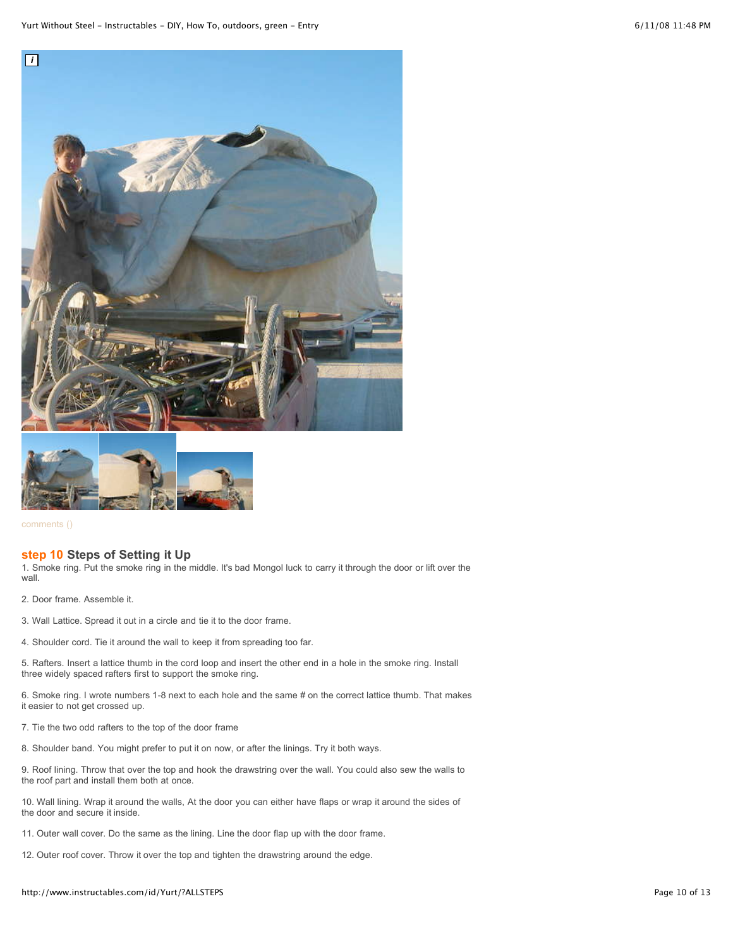



#### **step 10 Steps of [Setting](http://www.instructables.com/id/Yurt/) it Up**

1. Smoke ring. Put the smoke ring in the middle. It's bad Mongol luck to carry it through the door or lift over the wall.

- 2. Door frame. Assemble it.
- 3. Wall Lattice. Spread it out in a circle and tie it to the door frame.
- 4. Shoulder cord. Tie it around the wall to keep it from spreading too far.

5. Rafters. Insert a lattice thumb in the cord loop and insert the other end in a hole in the smoke ring. Install three widely spaced rafters first to support the smoke ring.

6. Smoke ring. I wrote numbers 1-8 next to each hole and the same # on the correct lattice thumb. That makes it easier to not get crossed up.

- 7. Tie the two odd rafters to the top of the door frame
- 8. Shoulder band. You might prefer to put it on now, or after the linings. Try it both ways.

9. Roof lining. Throw that over the top and hook the drawstring over the wall. You could also sew the walls to the roof part and install them both at once.

10. Wall lining. Wrap it around the walls, At the door you can either have flaps or wrap it around the sides of the door and secure it inside.

11. Outer wall cover. Do the same as the lining. Line the door flap up with the door frame.

12. Outer roof cover. Throw it over the top and tighten the drawstring around the edge.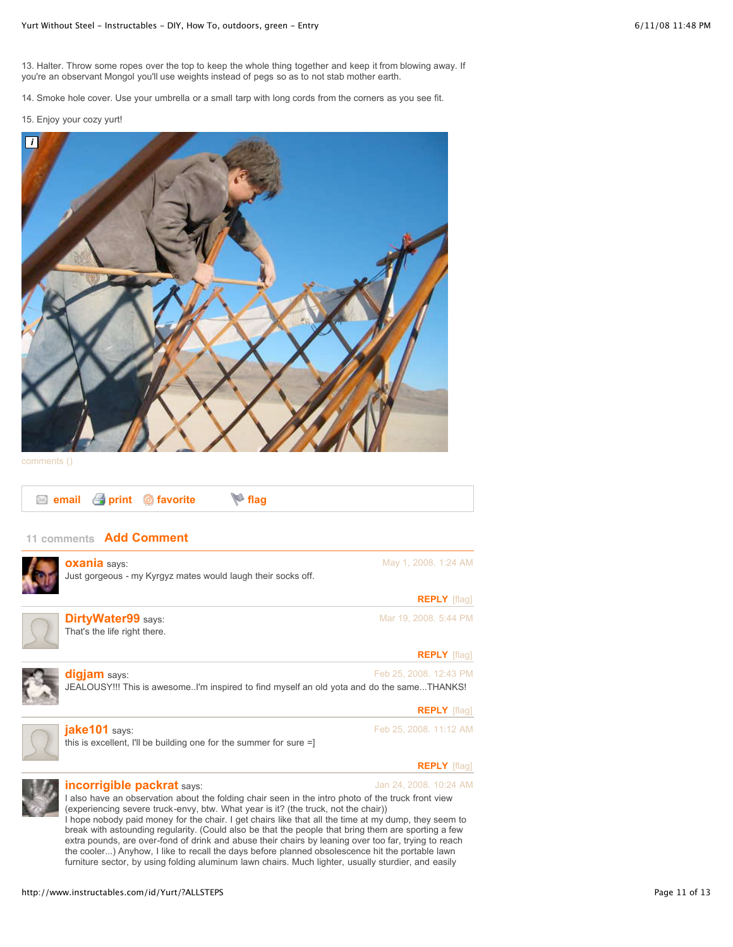13. Halter. Throw some ropes over the top to keep the whole thing together and keep it from blowing away. If you're an observant Mongol you'll use weights instead of pegs so as to not stab mother earth.

14. Smoke hole cover. Use your umbrella or a small tarp with long cords from the corners as you see fit.

#### 15. Enjoy your cozy yurt!



[comments](http://www.instructables.com/id/SQDM6DKFBJIMVE3/#DISCUSS) ()

| ■ email <i>e</i> print © favorite |  |
|-----------------------------------|--|
|-----------------------------------|--|

# **11 comments Add [Comment](http://www.instructables.com/id/Yurt/?ALLSTEPS#)**

| <b>OXania</b> says:<br>Just gorgeous - my Kyrgyz mates would laugh their socks off.                                                                                                                                    | May 1, 2008. 1:24 AM   |
|------------------------------------------------------------------------------------------------------------------------------------------------------------------------------------------------------------------------|------------------------|
|                                                                                                                                                                                                                        | <b>REPLY</b> [flaq]    |
| <b>DirtyWater99 says:</b><br>That's the life right there.                                                                                                                                                              | Mar 19, 2008. 5:44 PM  |
|                                                                                                                                                                                                                        | <b>REPLY</b> [flag]    |
| digjam says:<br>JEALOUSY!!! This is awesomeI'm inspired to find myself an old yota and do the sameTHANKS!                                                                                                              | Feb 25, 2008. 12:43 PM |
|                                                                                                                                                                                                                        | <b>REPLY</b> [flaq]    |
| jake101 says:<br>this is excellent, I'll be building one for the summer for sure $=$ ]                                                                                                                                 | Feb 25, 2008. 11:12 AM |
|                                                                                                                                                                                                                        | <b>REPLY</b> [flaq]    |
| incorrigible packrat says:<br>I also have an observation about the folding chair seen in the intro photo of the truck front view<br>(experiencing severe truck-envy, btw. What year is it? (the truck, not the chair)) | Jan 24, 2008. 10:24 AM |

I hope nobody paid money for the chair. I get chairs like that all the time at my dump, they seem to break with astounding regularity. (Could also be that the people that bring them are sporting a few extra pounds, are over-fond of drink and abuse their chairs by leaning over too far, trying to reach the cooler...) Anyhow, I like to recall the days before planned obsolescence hit the portable lawn furniture sector, by using folding aluminum lawn chairs. Much lighter, usually sturdier, and easily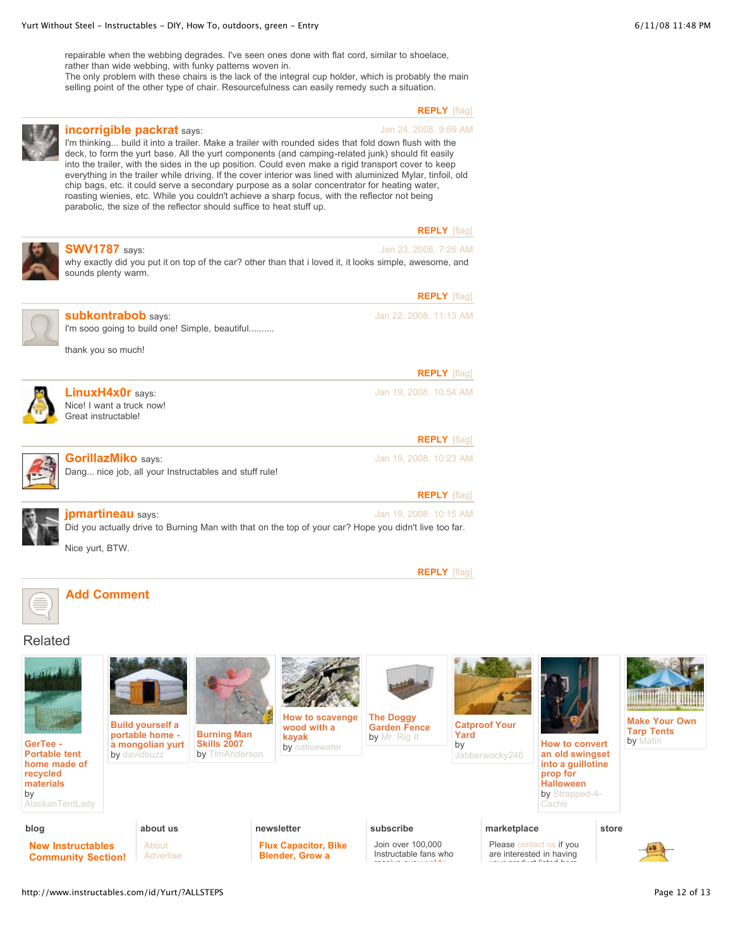repairable when the webbing degrades. I've seen ones done with flat cord, similar to shoelace, rather than wide webbing, with funky patterns woven in.

The only problem with these chairs is the lack of the integral cup holder, which is probably the main selling point of the other type of chair. Resourcefulness can easily remedy such a situation.

**[REPLY](http://www.instructables.com/id/Yurt/?ALLSTEPS#)** [\[flag\]](http://www.instructables.com/id/Yurt/?ALLSTEPS#)



#### Jan 24, 2008. 9:59 AM **[incorrigible](http://www.instructables.com/member/incorrigible+packrat/) packrat** says: I'm thinking... build it into a trailer. Make a trailer with rounded sides that fold down flush with the deck, to form the yurt base. All the yurt components (and camping-related junk) should fit easily into the trailer, with the sides in the up position. Could even make a rigid transport cover to keep everything in the trailer while driving. If the cover interior was lined with aluminized Mylar, tinfoil, old chip bags, etc. it could serve a secondary purpose as a solar concentrator for heating water, roasting wienies, etc. While you couldn't achieve a sharp focus, with the reflector not being parabolic, the size of the reflector should suffice to heat stuff up.

|--|--|



# Related



**GerTee - Portable tent home made of recycled materials** by

[AlaskanTentLady](http://www.instructables.com/member/AlaskanTentLady)

**Build yourself a**

**portable home a mongolian yurt** by [davidbuzz](http://www.instructables.com/member/davidbuzz)

> **about us** [About](http://www.instructables.com/about/) [Advertise](http://www.instructables.com/advertise/)



**Skills 2007** by [TimAnderson](http://www.instructables.com/member/TimAnderson) by [nativewater](http://www.instructables.com/member/nativewater)

**How to scavenge wood with a kayak**



**Catproof Your Yard** by







**Make Your Own Tarp Tents** by [Matin](http://www.instructables.com/member/Matin)

**an old swingset into a guillotine prop for Halloween** by [Strapped-4-](http://www.instructables.com/member/Strapped-4-Cache) Cache

**blog**

**New [Instructables](http://www.instructables.com/community/New-Instructables-Community-Section/) Community Section!**

# **newsletter**

**Flux [Capacitor,](http://www.instructables.com/community/newsletter-Flux-Capacitor-Bike-Blender-Grow-a-/) Bike Blender, Grow a**

# **subscribe**

Join over 100,000 Instructable fans who

receive our **[weekly](http://www.instructables.com/tag/type:forumTopic/featured:true/keyword:newsletter)**

# **marketplace**

Please [contact](mailto:marketplace@instructables.com) us if you are interested in having your product listed here.

**store**

http://www.instructables.com/id/Yurt/?ALLSTEPS example and the state of the state of the page 12 of 13